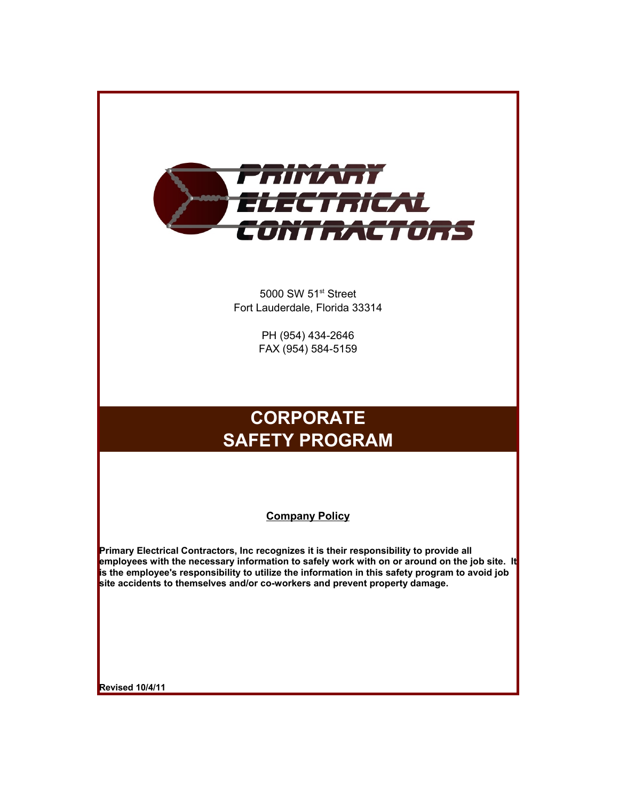

5000 SW 51<sup>st</sup> Street Fort Lauderdale, Florida 33314

> PH (954) 434-2646 FAX (954) 584-5159

# **CORPORATE SAFETY PROGRAM**

#### **Company Policy**

**Primary Electrical Contractors, Inc recognizes it is their responsibility to provide all employees with the necessary information to safely work with on or around on the job site. It is the employee's responsibility to utilize the information in this safety program to avoid job site accidents to themselves and/or co-workers and prevent property damage.** 

**Revised 10/4/11**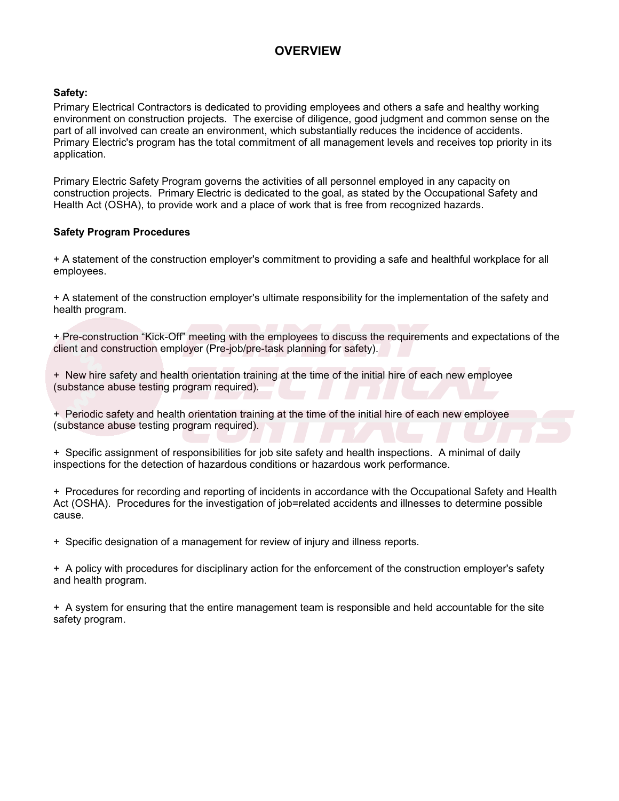# **OVERVIEW**

#### **Safety:**

Primary Electrical Contractors is dedicated to providing employees and others a safe and healthy working environment on construction projects. The exercise of diligence, good judgment and common sense on the part of all involved can create an environment, which substantially reduces the incidence of accidents. Primary Electric's program has the total commitment of all management levels and receives top priority in its application.

Primary Electric Safety Program governs the activities of all personnel employed in any capacity on construction projects. Primary Electric is dedicated to the goal, as stated by the Occupational Safety and Health Act (OSHA), to provide work and a place of work that is free from recognized hazards.

#### **Safety Program Procedures**

+ A statement of the construction employer's commitment to providing a safe and healthful workplace for all employees.

+ A statement of the construction employer's ultimate responsibility for the implementation of the safety and health program.

+ Pre-construction "Kick-Off" meeting with the employees to discuss the requirements and expectations of the client and construction employer (Pre-job/pre-task planning for safety). <sup>P</sup> meeting with the employees to discuss the requirements and expectations of the<br>loyer (Pre-job/pre-task planning for safety).

+ New hire safety and health orientation training at the time of the initial hire of each new employee *Electrical*(substance abuse testing program required).

+ Periodic safety and health orientation training at the time of the initial hire of each new employee (substance abuse testing program required). **Contraction training at the time of the initial hire of each new employee ogram required).<br>
<b>Contract of the second integral of the second integral of the second integral of the second integral of daily** 

+ Specific assignment of responsibilities for job site safety and health inspections. A minimal of daily inspections for the detection of hazardous conditions or hazardous work performance.

+ Procedures for recording and reporting of incidents in accordance with the Occupational Safety and Health Act (OSHA). Procedures for the investigation of job=related accidents and illnesses to determine possible cause.

+ Specific designation of a management for review of injury and illness reports.

+ A policy with procedures for disciplinary action for the enforcement of the construction employer's safety and health program.

+ A system for ensuring that the entire management team is responsible and held accountable for the site safety program.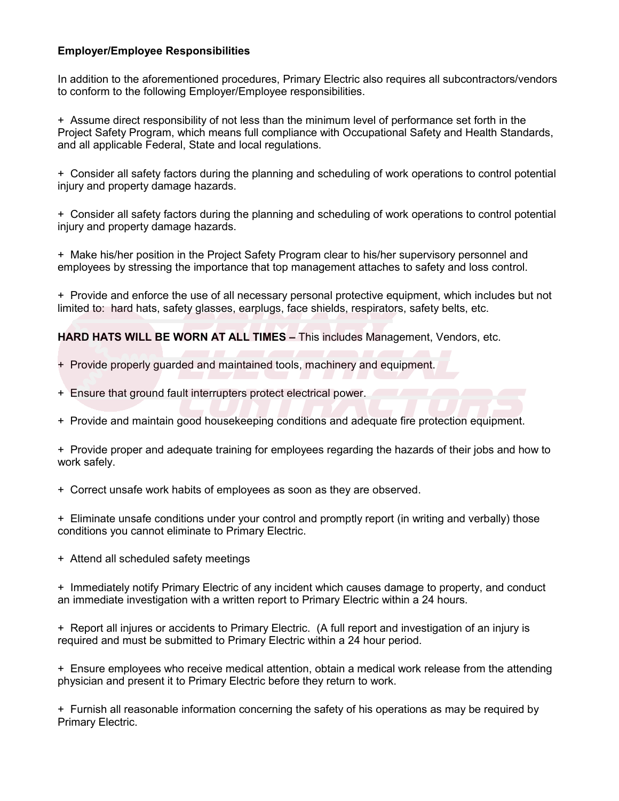#### **Employer/Employee Responsibilities**

In addition to the aforementioned procedures, Primary Electric also requires all subcontractors/vendors to conform to the following Employer/Employee responsibilities.

+ Assume direct responsibility of not less than the minimum level of performance set forth in the Project Safety Program, which means full compliance with Occupational Safety and Health Standards, and all applicable Federal, State and local regulations.

+ Consider all safety factors during the planning and scheduling of work operations to control potential injury and property damage hazards.

+ Consider all safety factors during the planning and scheduling of work operations to control potential injury and property damage hazards.

+ Make his/her position in the Project Safety Program clear to his/her supervisory personnel and employees by stressing the importance that top management attaches to safety and loss control.

+ Provide and enforce the use of all necessary personal protective equipment, which includes but not limited to: hard hats, safety glasses, earplugs, face shields, respirators, safety belts, etc.

**HARD HATS WILL BE WORN AT ALL TIMES –** This includes Management, Vendors, etc. **Primary Schools, Cappage, Responsively, Primary, Senety Benet, etc.**<br>**PORN AT ALL TIMES –** This includes Management, Vendors, etc.

- + Provide properly guarded and maintained tools, machinery and equipment. ded and maintained tools, machinery and equipment.
- + Ensure that ground fault interrupters protect electrical power.
- + Provide and maintain good housekeeping conditions and adequate fire protection equipment.

+ Provide proper and adequate training for employees regarding the hazards of their jobs and how to work safely.

+ Correct unsafe work habits of employees as soon as they are observed.

+ Eliminate unsafe conditions under your control and promptly report (in writing and verbally) those conditions you cannot eliminate to Primary Electric.

+ Attend all scheduled safety meetings

+ Immediately notify Primary Electric of any incident which causes damage to property, and conduct an immediate investigation with a written report to Primary Electric within a 24 hours. Firsure that ground fault interrupters protect electrical power.<br>
Provide and maintain good housekeeping conditions and adequate fire protection equipment.<br>
Provide proper and adequate training for employees regarding the

+ Report all injures or accidents to Primary Electric. (A full report and investigation of an injury is required and must be submitted to Primary Electric within a 24 hour period.

+ Ensure employees who receive medical attention, obtain a medical work release from the attending physician and present it to Primary Electric before they return to work.

+ Furnish all reasonable information concerning the safety of his operations as may be required by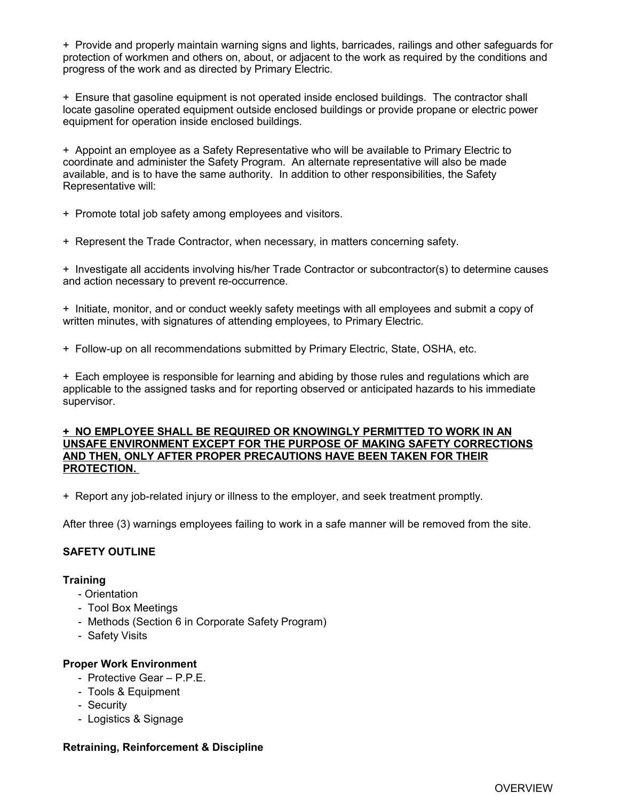+ Provide and properly maintain warning signs and lights, barricades, railings and other safeguards for protection of workmen and others on, about, or adjacent to the work as required by the conditions and progress of the work and as directed by Primary Electric.

+ Ensure that gasoline equipment is not operated inside enclosed buildings. The contractor shall locate gasoline operated equipment outside enclosed buildings or provide propane or electric power equipment for operation inside enclosed buildings.

+ Appoint an employee as a Safety Representative who will be available to Primary Electric to coordinate and administer the Safety Program. An alternate representative will also be made available, and is to have the same authority. In addition to other responsibilities, the Safety Representative will:

+ Promote total job safety among employees and visitors.

+ Represent the Trade Contractor, when necessary, in matters concerning safety.

+ Investigate all accidents involving his/her Trade Contractor or subcontractor(s) to determine causes and action necessary to prevent re-occurrence.

+ Initiate, monitor, and or conduct weekly safety meetings with all employees and submit a copy of written minutes, with signatures of attending employees, to Primary Electric.

+ Follow-up on all recommendations submitted by Primary Electric, State, OSHA, etc.

+ Each employee is responsible for learning and abiding by those rules and regulations which are applicable to the assigned tasks and for reporting observed or anticipated hazards to his immediate supervisor.

#### **+ NO EMPLOYEE SHALL BE REQUIRED OR KNOWINGLY PERMITTED TO WORK IN AN UNSAFE ENVIRONMENT EXCEPT FOR THE PURPOSE OF MAKING SAFETY CORRECTIONS AND THEN, ONLY AFTER PROPER PRECAUTIONS HAVE BEEN TAKEN FOR THEIR PROTECTION.**

+ Report any job-related injury or illness to the employer, and seek treatment promptly.

After three (3) warnings employees failing to work in a safe manner will be removed from the site.

#### **SAFETY OUTLINE**

#### **Training**

- Orientation
- Tool Box Meetings
- Methods (Section 6 in Corporate Safety Program)
- Safety Visits

#### **Proper Work Environment**

- Protective Gear P.P.E.
- Tools & Equipment
- Security
- Logistics & Signage

#### **Retraining, Reinforcement & Discipline**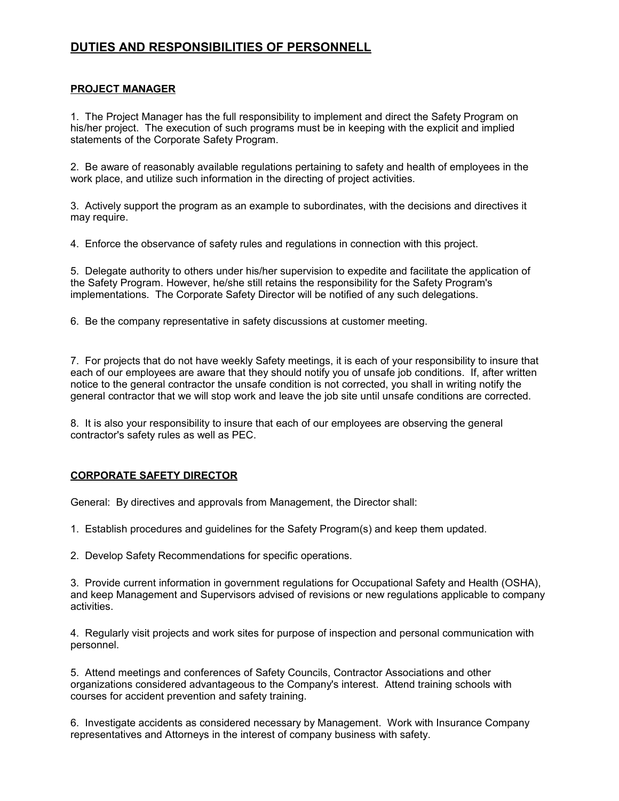# **DUTIES AND RESPONSIBILITIES OF PERSONNELL**

#### **PROJECT MANAGER**

1. The Project Manager has the full responsibility to implement and direct the Safety Program on his/her project. The execution of such programs must be in keeping with the explicit and implied statements of the Corporate Safety Program.

2. Be aware of reasonably available regulations pertaining to safety and health of employees in the work place, and utilize such information in the directing of project activities.

3. Actively support the program as an example to subordinates, with the decisions and directives it may require.

4. Enforce the observance of safety rules and regulations in connection with this project.

5. Delegate authority to others under his/her supervision to expedite and facilitate the application of the Safety Program. However, he/she still retains the responsibility for the Safety Program's implementations. The Corporate Safety Director will be notified of any such delegations.

6. Be the company representative in safety discussions at customer meeting.

7. For projects that do not have weekly Safety meetings, it is each of your responsibility to insure that each of our employees are aware that they should notify you of unsafe job conditions. If, after written notice to the general contractor the unsafe condition is not corrected, you shall in writing notify the general contractor that we will stop work and leave the job site until unsafe conditions are corrected.

8. It is also your responsibility to insure that each of our employees are observing the general contractor's safety rules as well as PEC.

#### **CORPORATE SAFETY DIRECTOR**

General: By directives and approvals from Management, the Director shall:

1. Establish procedures and guidelines for the Safety Program(s) and keep them updated.

2. Develop Safety Recommendations for specific operations.

3. Provide current information in government regulations for Occupational Safety and Health (OSHA), and keep Management and Supervisors advised of revisions or new regulations applicable to company activities.

4. Regularly visit projects and work sites for purpose of inspection and personal communication with personnel.

5. Attend meetings and conferences of Safety Councils, Contractor Associations and other organizations considered advantageous to the Company's interest. Attend training schools with courses for accident prevention and safety training.

6. Investigate accidents as considered necessary by Management. Work with Insurance Company representatives and Attorneys in the interest of company business with safety.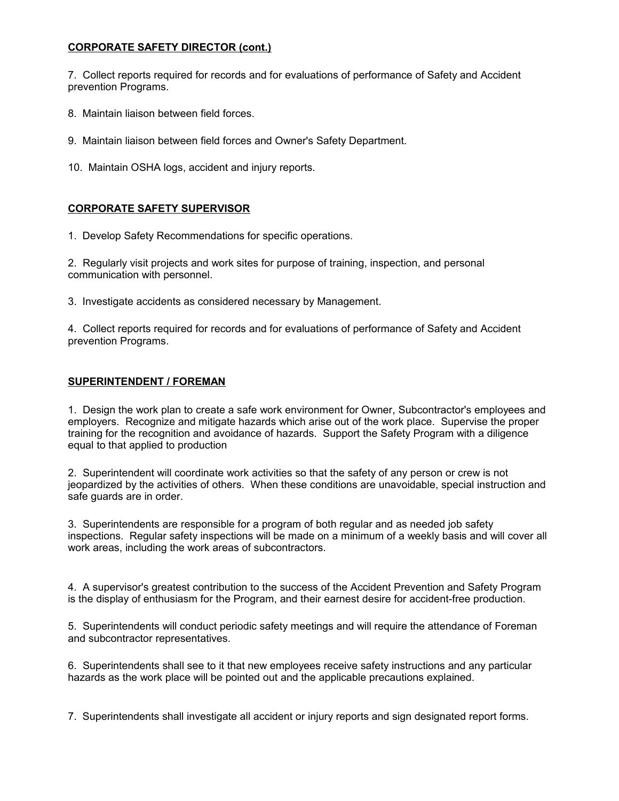#### **CORPORATE SAFETY DIRECTOR (cont.)**

7. Collect reports required for records and for evaluations of performance of Safety and Accident prevention Programs.

- 8. Maintain liaison between field forces.
- 9. Maintain liaison between field forces and Owner's Safety Department.
- 10. Maintain OSHA logs, accident and injury reports.

#### **CORPORATE SAFETY SUPERVISOR**

1. Develop Safety Recommendations for specific operations.

2. Regularly visit projects and work sites for purpose of training, inspection, and personal communication with personnel.

3. Investigate accidents as considered necessary by Management.

4. Collect reports required for records and for evaluations of performance of Safety and Accident prevention Programs.

#### **SUPERINTENDENT / FOREMAN**

1. Design the work plan to create a safe work environment for Owner, Subcontractor's employees and employers. Recognize and mitigate hazards which arise out of the work place. Supervise the proper training for the recognition and avoidance of hazards. Support the Safety Program with a diligence equal to that applied to production

2. Superintendent will coordinate work activities so that the safety of any person or crew is not jeopardized by the activities of others. When these conditions are unavoidable, special instruction and safe guards are in order.

3. Superintendents are responsible for a program of both regular and as needed job safety inspections. Regular safety inspections will be made on a minimum of a weekly basis and will cover all work areas, including the work areas of subcontractors.

4. A supervisor's greatest contribution to the success of the Accident Prevention and Safety Program is the display of enthusiasm for the Program, and their earnest desire for accident-free production.

5. Superintendents will conduct periodic safety meetings and will require the attendance of Foreman and subcontractor representatives.

6. Superintendents shall see to it that new employees receive safety instructions and any particular hazards as the work place will be pointed out and the applicable precautions explained.

7. Superintendents shall investigate all accident or injury reports and sign designated report forms.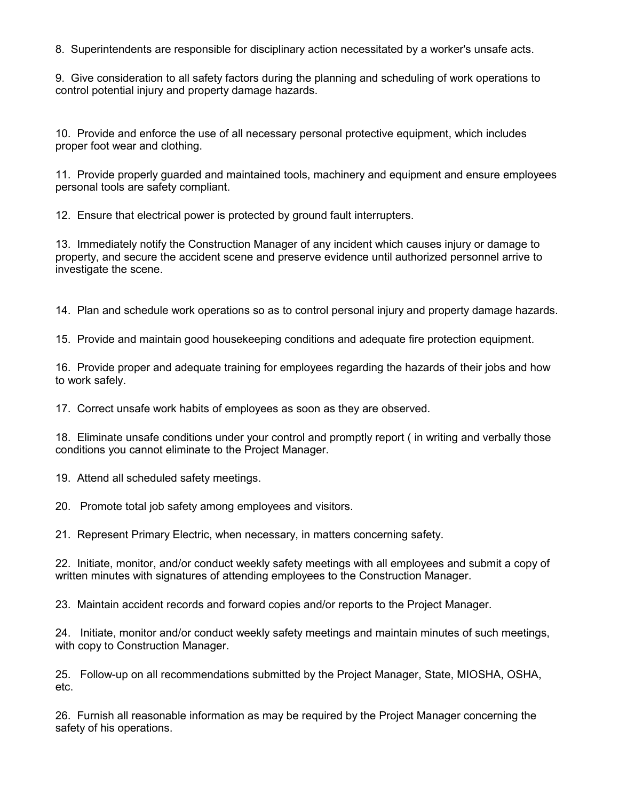8. Superintendents are responsible for disciplinary action necessitated by a worker's unsafe acts.

9. Give consideration to all safety factors during the planning and scheduling of work operations to control potential injury and property damage hazards.

10. Provide and enforce the use of all necessary personal protective equipment, which includes proper foot wear and clothing.

11. Provide properly guarded and maintained tools, machinery and equipment and ensure employees personal tools are safety compliant.

12. Ensure that electrical power is protected by ground fault interrupters.

13. Immediately notify the Construction Manager of any incident which causes injury or damage to property, and secure the accident scene and preserve evidence until authorized personnel arrive to investigate the scene.

14. Plan and schedule work operations so as to control personal injury and property damage hazards.

15. Provide and maintain good housekeeping conditions and adequate fire protection equipment.

16. Provide proper and adequate training for employees regarding the hazards of their jobs and how to work safely.

17. Correct unsafe work habits of employees as soon as they are observed.

18. Eliminate unsafe conditions under your control and promptly report ( in writing and verbally those conditions you cannot eliminate to the Project Manager.

19. Attend all scheduled safety meetings.

20. Promote total job safety among employees and visitors.

21. Represent Primary Electric, when necessary, in matters concerning safety.

22. Initiate, monitor, and/or conduct weekly safety meetings with all employees and submit a copy of written minutes with signatures of attending employees to the Construction Manager.

23. Maintain accident records and forward copies and/or reports to the Project Manager.

24. Initiate, monitor and/or conduct weekly safety meetings and maintain minutes of such meetings, with copy to Construction Manager.

25. Follow-up on all recommendations submitted by the Project Manager, State, MIOSHA, OSHA, etc.

26. Furnish all reasonable information as may be required by the Project Manager concerning the safety of his operations.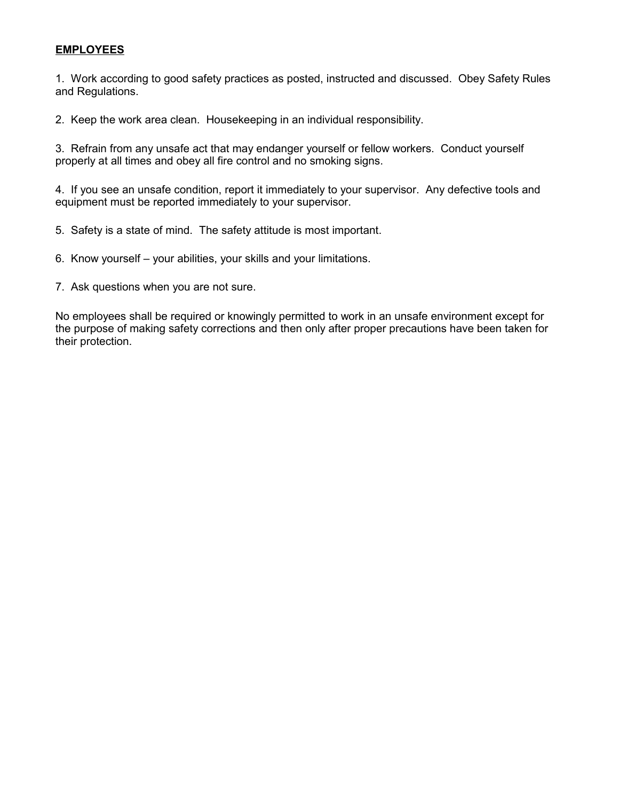#### **EMPLOYEES**

1. Work according to good safety practices as posted, instructed and discussed. Obey Safety Rules and Regulations.

2. Keep the work area clean. Housekeeping in an individual responsibility.

3. Refrain from any unsafe act that may endanger yourself or fellow workers. Conduct yourself properly at all times and obey all fire control and no smoking signs.

4. If you see an unsafe condition, report it immediately to your supervisor. Any defective tools and equipment must be reported immediately to your supervisor.

- 5. Safety is a state of mind. The safety attitude is most important.
- 6. Know yourself your abilities, your skills and your limitations.
- 7. Ask questions when you are not sure.

No employees shall be required or knowingly permitted to work in an unsafe environment except for the purpose of making safety corrections and then only after proper precautions have been taken for their protection.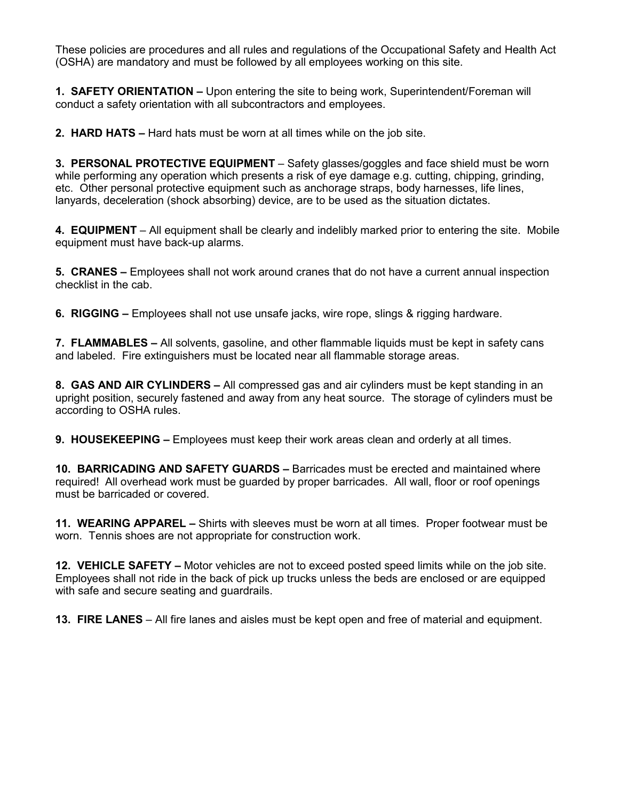These policies are procedures and all rules and regulations of the Occupational Safety and Health Act (OSHA) are mandatory and must be followed by all employees working on this site.

**1. SAFETY ORIENTATION –** Upon entering the site to being work, Superintendent/Foreman will conduct a safety orientation with all subcontractors and employees.

**2. HARD HATS –** Hard hats must be worn at all times while on the job site.

**3. PERSONAL PROTECTIVE EQUIPMENT** – Safety glasses/goggles and face shield must be worn while performing any operation which presents a risk of eye damage e.g. cutting, chipping, grinding, etc. Other personal protective equipment such as anchorage straps, body harnesses, life lines, lanyards, deceleration (shock absorbing) device, are to be used as the situation dictates.

**4. EQUIPMENT** – All equipment shall be clearly and indelibly marked prior to entering the site. Mobile equipment must have back-up alarms.

**5. CRANES –** Employees shall not work around cranes that do not have a current annual inspection checklist in the cab.

**6. RIGGING –** Employees shall not use unsafe jacks, wire rope, slings & rigging hardware.

**7. FLAMMABLES –** All solvents, gasoline, and other flammable liquids must be kept in safety cans and labeled. Fire extinguishers must be located near all flammable storage areas.

**8. GAS AND AIR CYLINDERS –** All compressed gas and air cylinders must be kept standing in an upright position, securely fastened and away from any heat source. The storage of cylinders must be according to OSHA rules.

**9. HOUSEKEEPING –** Employees must keep their work areas clean and orderly at all times.

**10. BARRICADING AND SAFETY GUARDS –** Barricades must be erected and maintained where required! All overhead work must be guarded by proper barricades. All wall, floor or roof openings must be barricaded or covered.

**11. WEARING APPAREL –** Shirts with sleeves must be worn at all times. Proper footwear must be worn. Tennis shoes are not appropriate for construction work.

**12. VEHICLE SAFETY –** Motor vehicles are not to exceed posted speed limits while on the job site. Employees shall not ride in the back of pick up trucks unless the beds are enclosed or are equipped with safe and secure seating and guardrails.

**13. FIRE LANES** – All fire lanes and aisles must be kept open and free of material and equipment.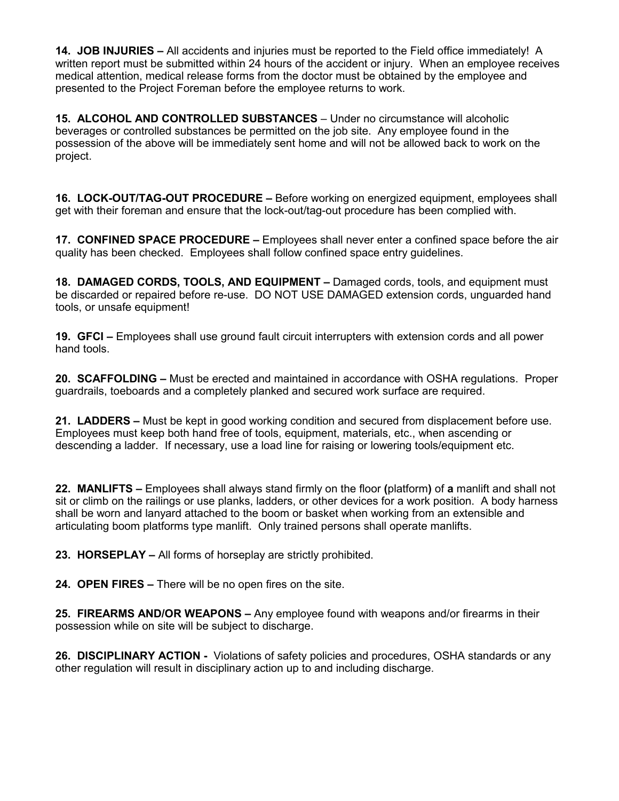**14. JOB INJURIES –** All accidents and injuries must be reported to the Field office immediately! A written report must be submitted within 24 hours of the accident or injury. When an employee receives medical attention, medical release forms from the doctor must be obtained by the employee and presented to the Project Foreman before the employee returns to work.

**15. ALCOHOL AND CONTROLLED SUBSTANCES** – Under no circumstance will alcoholic beverages or controlled substances be permitted on the job site. Any employee found in the possession of the above will be immediately sent home and will not be allowed back to work on the project.

**16. LOCK-OUT/TAG-OUT PROCEDURE –** Before working on energized equipment, employees shall get with their foreman and ensure that the lock-out/tag-out procedure has been complied with.

**17. CONFINED SPACE PROCEDURE –** Employees shall never enter a confined space before the air quality has been checked. Employees shall follow confined space entry guidelines.

**18. DAMAGED CORDS, TOOLS, AND EQUIPMENT –** Damaged cords, tools, and equipment must be discarded or repaired before re-use. DO NOT USE DAMAGED extension cords, unguarded hand tools, or unsafe equipment!

**19. GFCI –** Employees shall use ground fault circuit interrupters with extension cords and all power hand tools.

**20. SCAFFOLDING –** Must be erected and maintained in accordance with OSHA regulations. Proper guardrails, toeboards and a completely planked and secured work surface are required.

**21. LADDERS –** Must be kept in good working condition and secured from displacement before use. Employees must keep both hand free of tools, equipment, materials, etc., when ascending or descending a ladder. If necessary, use a load line for raising or lowering tools/equipment etc.

**22. MANLIFTS –** Employees shall always stand firmly on the floor **(**platform**)** of **a** manlift and shall not sit or climb on the railings or use planks, ladders, or other devices for a work position. A body harness shall be worn and lanyard attached to the boom or basket when working from an extensible and articulating boom platforms type manlift. Only trained persons shall operate manlifts.

**23. HORSEPLAY –** All forms of horseplay are strictly prohibited.

**24. OPEN FIRES –** There will be no open fires on the site.

**25. FIREARMS AND/OR WEAPONS –** Any employee found with weapons and/or firearms in their possession while on site will be subject to discharge.

**26. DISCIPLINARY ACTION -** Violations of safety policies and procedures, OSHA standards or any other regulation will result in disciplinary action up to and including discharge.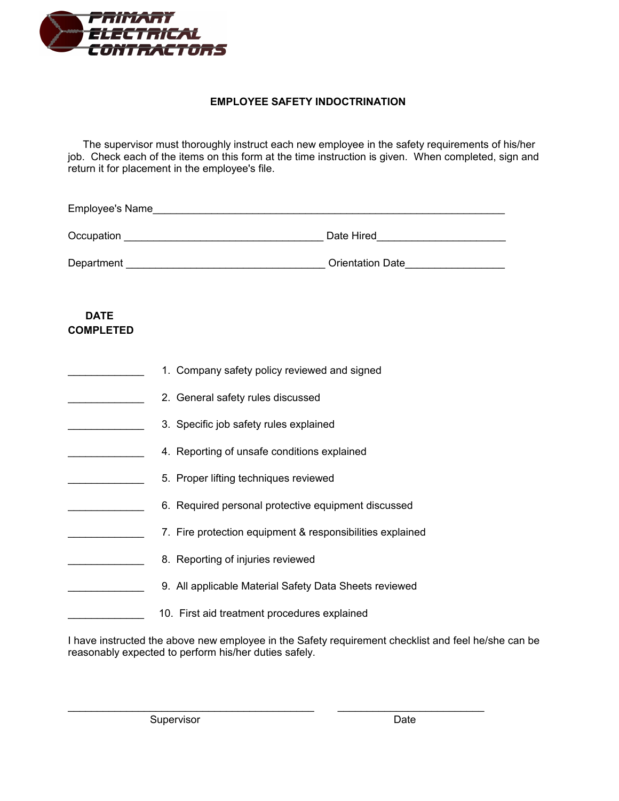

#### **EMPLOYEE SAFETY INDOCTRINATION**

 The supervisor must thoroughly instruct each new employee in the safety requirements of his/her job. Check each of the items on this form at the time instruction is given. When completed, sign and return it for placement in the employee's file.

| <b>Employee's Name</b> |                         |
|------------------------|-------------------------|
| Occupation             | Date Hired              |
| Department             | <b>Orientation Date</b> |

 **DATE**

| <b>COMPLETED</b> |                                                                                |
|------------------|--------------------------------------------------------------------------------|
|                  | 1. Company safety policy reviewed and signed                                   |
|                  | 2. General safety rules discussed                                              |
|                  | 3. Specific job safety rules explained                                         |
|                  | 4. Reporting of unsafe conditions explained                                    |
|                  | 5. Proper lifting techniques reviewed                                          |
|                  | 6. Required personal protective equipment discussed                            |
|                  | 7. Fire protection equipment & responsibilities explained                      |
|                  | 8. Reporting of injuries reviewed                                              |
|                  | 9. All applicable Material Safety Data Sheets reviewed                         |
|                  | 10. First aid treatment procedures explained                                   |
|                  | have instructed the above new employee in the Safety requirement checklist and |

I have instructed the above new employee in the Safety requirement checklist and feel he/she can be reasonably expected to perform his/her duties safely.

\_\_\_\_\_\_\_\_\_\_\_\_\_\_\_\_\_\_\_\_\_\_\_\_\_\_\_\_\_\_\_\_\_\_\_\_\_\_\_\_\_\_ \_\_\_\_\_\_\_\_\_\_\_\_\_\_\_\_\_\_\_\_\_\_\_\_\_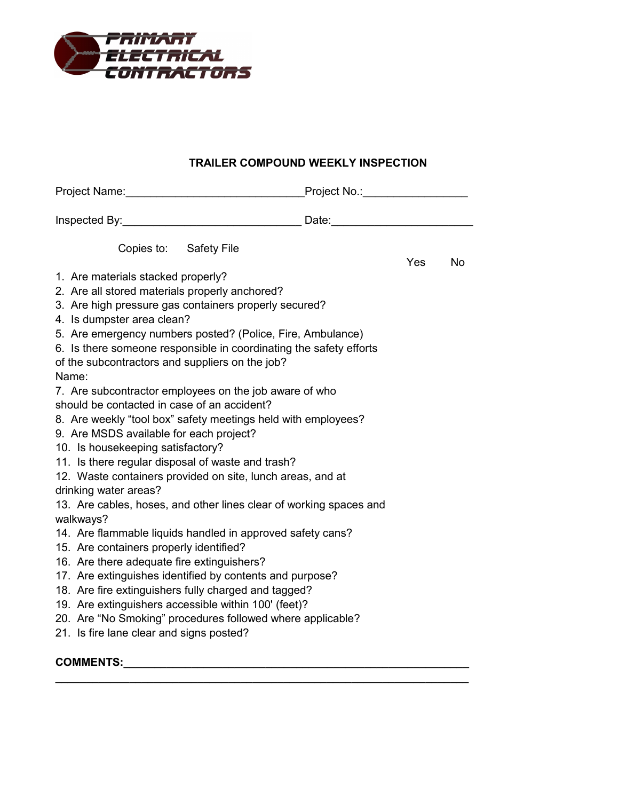

# **TRAILER COMPOUND WEEKLY INSPECTION**

| Copies to: Safety File                                                                                           | <b>Yes</b><br><b>No</b> |  |
|------------------------------------------------------------------------------------------------------------------|-------------------------|--|
| 1. Are materials stacked properly?                                                                               |                         |  |
| 2. Are all stored materials properly anchored?                                                                   |                         |  |
| 3. Are high pressure gas containers properly secured?                                                            |                         |  |
| 4. Is dumpster area clean?                                                                                       |                         |  |
| 5. Are emergency numbers posted? (Police, Fire, Ambulance)                                                       |                         |  |
| 6. Is there someone responsible in coordinating the safety efforts                                               |                         |  |
| of the subcontractors and suppliers on the job?<br>Name:                                                         |                         |  |
| 7. Are subcontractor employees on the job aware of who                                                           |                         |  |
| should be contacted in case of an accident?                                                                      |                         |  |
| 8. Are weekly "tool box" safety meetings held with employees?                                                    |                         |  |
| 9. Are MSDS available for each project?                                                                          |                         |  |
| 10. Is housekeeping satisfactory?                                                                                |                         |  |
| 11. Is there regular disposal of waste and trash?                                                                |                         |  |
| 12. Waste containers provided on site, lunch areas, and at                                                       |                         |  |
| drinking water areas?                                                                                            |                         |  |
| 13. Are cables, hoses, and other lines clear of working spaces and                                               |                         |  |
| walkways?                                                                                                        |                         |  |
| 14. Are flammable liquids handled in approved safety cans?                                                       |                         |  |
| 15. Are containers properly identified?                                                                          |                         |  |
| 16. Are there adequate fire extinguishers?                                                                       |                         |  |
| 17. Are extinguishes identified by contents and purpose?<br>18. Are fire extinguishers fully charged and tagged? |                         |  |
| 19. Are extinguishers accessible within 100' (feet)?                                                             |                         |  |
| 20. Are "No Smoking" procedures followed where applicable?                                                       |                         |  |
| 21. Is fire lane clear and signs posted?                                                                         |                         |  |
|                                                                                                                  |                         |  |

**COMMENTS:\_\_\_\_\_\_\_\_\_\_\_\_\_\_\_\_\_\_\_\_\_\_\_\_\_\_\_\_\_\_\_\_\_\_\_\_\_\_\_\_\_\_\_\_\_\_\_\_\_\_\_\_\_\_\_\_**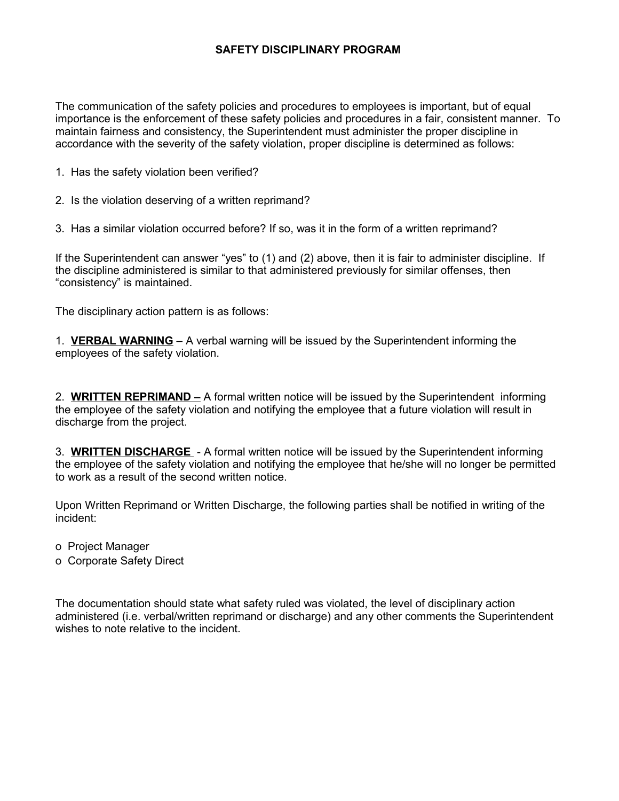### **SAFETY DISCIPLINARY PROGRAM**

The communication of the safety policies and procedures to employees is important, but of equal importance is the enforcement of these safety policies and procedures in a fair, consistent manner. To maintain fairness and consistency, the Superintendent must administer the proper discipline in accordance with the severity of the safety violation, proper discipline is determined as follows:

- 1. Has the safety violation been verified?
- 2. Is the violation deserving of a written reprimand?
- 3. Has a similar violation occurred before? If so, was it in the form of a written reprimand?

If the Superintendent can answer "yes" to (1) and (2) above, then it is fair to administer discipline. If the discipline administered is similar to that administered previously for similar offenses, then "consistency" is maintained.

The disciplinary action pattern is as follows:

1. **VERBAL WARNING** – A verbal warning will be issued by the Superintendent informing the employees of the safety violation.

2. **WRITTEN REPRIMAND –** A formal written notice will be issued by the Superintendent informing the employee of the safety violation and notifying the employee that a future violation will result in discharge from the project.

3. **WRITTEN DISCHARGE** - A formal written notice will be issued by the Superintendent informing the employee of the safety violation and notifying the employee that he/she will no longer be permitted to work as a result of the second written notice.

Upon Written Reprimand or Written Discharge, the following parties shall be notified in writing of the incident:

- o Project Manager
- o Corporate Safety Direct

The documentation should state what safety ruled was violated, the level of disciplinary action administered (i.e. verbal/written reprimand or discharge) and any other comments the Superintendent wishes to note relative to the incident.